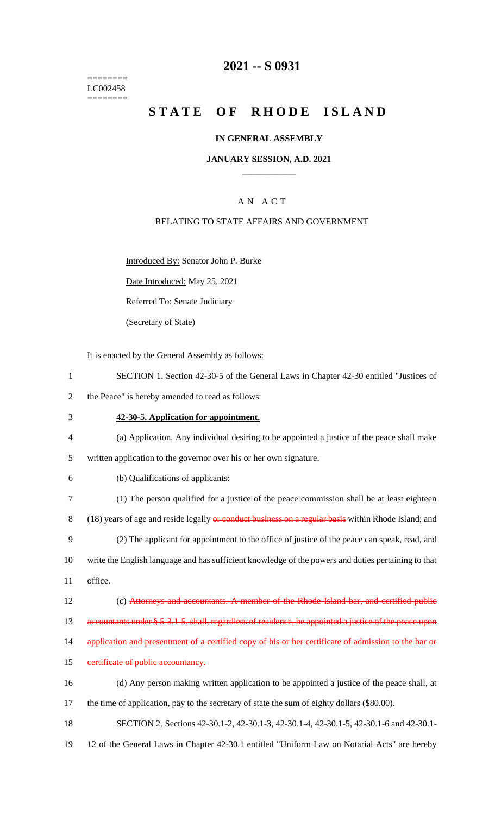======== LC002458 ========

## **2021 -- S 0931**

# **STATE OF RHODE ISLAND**

#### **IN GENERAL ASSEMBLY**

#### **JANUARY SESSION, A.D. 2021 \_\_\_\_\_\_\_\_\_\_\_\_**

## A N A C T

#### RELATING TO STATE AFFAIRS AND GOVERNMENT

Introduced By: Senator John P. Burke

Date Introduced: May 25, 2021

Referred To: Senate Judiciary

(Secretary of State)

It is enacted by the General Assembly as follows:

- 1 SECTION 1. Section 42-30-5 of the General Laws in Chapter 42-30 entitled "Justices of
- 2 the Peace" is hereby amended to read as follows:
- 3 **42-30-5. Application for appointment.**
- 4 (a) Application. Any individual desiring to be appointed a justice of the peace shall make
- 5 written application to the governor over his or her own signature.
- 6 (b) Qualifications of applicants:

7 (1) The person qualified for a justice of the peace commission shall be at least eighteen 8 (18) years of age and reside legally or conduct business on a regular basis within Rhode Island; and 9 (2) The applicant for appointment to the office of justice of the peace can speak, read, and 10 write the English language and has sufficient knowledge of the powers and duties pertaining to that 11 office.

- 12 (c) Attorneys and accountants. A member of the Rhode Island bar, and certified public
- 13 accountants under § 5-3.1-5, shall, regardless of residence, be appointed a justice of the peace upon
- 14 application and presentment of a certified copy of his or her certificate of admission to the bar or
- 15 eertificate of public accountancy.
- 16 (d) Any person making written application to be appointed a justice of the peace shall, at 17 the time of application, pay to the secretary of state the sum of eighty dollars (\$80.00).
- 18 SECTION 2. Sections 42-30.1-2, 42-30.1-3, 42-30.1-4, 42-30.1-5, 42-30.1-6 and 42-30.1-
- 19 12 of the General Laws in Chapter 42-30.1 entitled "Uniform Law on Notarial Acts" are hereby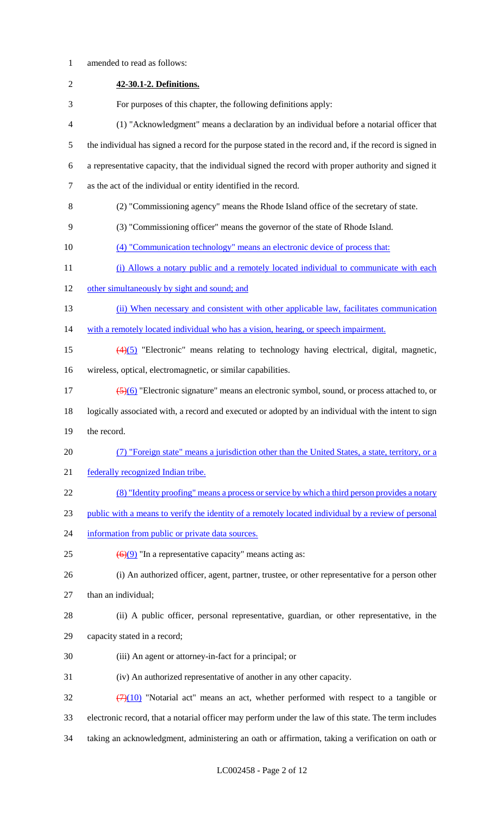**42-30.1-2. Definitions.** For purposes of this chapter, the following definitions apply: (1) "Acknowledgment" means a declaration by an individual before a notarial officer that the individual has signed a record for the purpose stated in the record and, if the record is signed in a representative capacity, that the individual signed the record with proper authority and signed it as the act of the individual or entity identified in the record. (2) "Commissioning agency" means the Rhode Island office of the secretary of state. (3) "Commissioning officer" means the governor of the state of Rhode Island. (4) "Communication technology" means an electronic device of process that: 11 (i) Allows a notary public and a remotely located individual to communicate with each 12 other simultaneously by sight and sound; and 13 (ii) When necessary and consistent with other applicable law, facilitates communication 14 with a remotely located individual who has a vision, hearing, or speech impairment. (4)(5) "Electronic" means relating to technology having electrical, digital, magnetic, wireless, optical, electromagnetic, or similar capabilities.  $\frac{(5)(6)}{2}$  "Electronic signature" means an electronic symbol, sound, or process attached to, or logically associated with, a record and executed or adopted by an individual with the intent to sign the record. (7) "Foreign state" means a jurisdiction other than the United States, a state, territory, or a federally recognized Indian tribe. (8) "Identity proofing" means a process or service by which a third person provides a notary public with a means to verify the identity of a remotely located individual by a review of personal 24 information from public or private data sources.  $(6)(9)$  "In a representative capacity" means acting as: (i) An authorized officer, agent, partner, trustee, or other representative for a person other than an individual; (ii) A public officer, personal representative, guardian, or other representative, in the capacity stated in a record; (iii) An agent or attorney-in-fact for a principal; or (iv) An authorized representative of another in any other capacity.  $\frac{(7)(10)}{20}$  "Notarial act" means an act, whether performed with respect to a tangible or electronic record, that a notarial officer may perform under the law of this state. The term includes taking an acknowledgment, administering an oath or affirmation, taking a verification on oath or

amended to read as follows: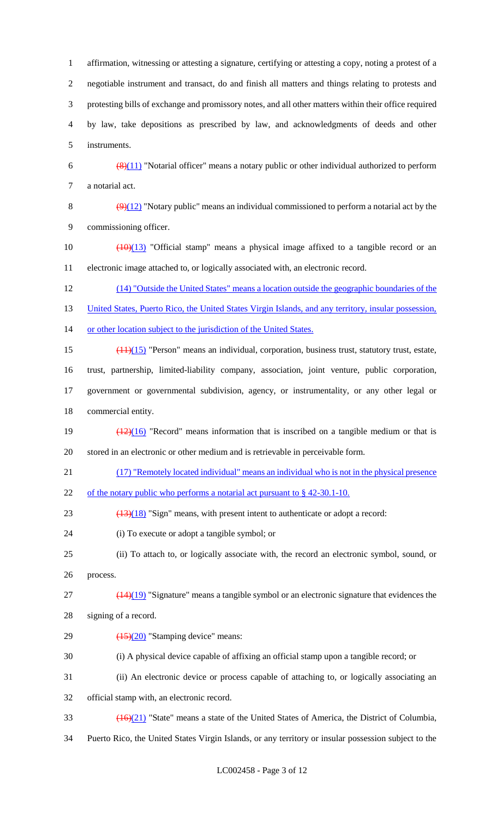affirmation, witnessing or attesting a signature, certifying or attesting a copy, noting a protest of a negotiable instrument and transact, do and finish all matters and things relating to protests and protesting bills of exchange and promissory notes, and all other matters within their office required by law, take depositions as prescribed by law, and acknowledgments of deeds and other instruments.  $\left(\frac{8(11)}{8}\right)$  "Notarial officer" means a notary public or other individual authorized to perform a notarial act.  $(9)(12)$  "Notary public" means an individual commissioned to perform a notarial act by the commissioning officer.

10  $\left(\frac{(10)(13)}{(10)(13)}\right)$  "Official stamp" means a physical image affixed to a tangible record or an electronic image attached to, or logically associated with, an electronic record.

(14) "Outside the United States" means a location outside the geographic boundaries of the

13 United States, Puerto Rico, the United States Virgin Islands, and any territory, insular possession,

or other location subject to the jurisdiction of the United States.

(11)(15) "Person" means an individual, corporation, business trust, statutory trust, estate,

trust, partnership, limited-liability company, association, joint venture, public corporation,

 government or governmental subdivision, agency, or instrumentality, or any other legal or commercial entity.

19  $\left(\frac{(12)(16)}{2}\right)$  "Record" means information that is inscribed on a tangible medium or that is stored in an electronic or other medium and is retrievable in perceivable form.

(17) "Remotely located individual" means an individual who is not in the physical presence

22 of the notary public who performs a notarial act pursuant to § 42-30.1-10.

23  $(13)(18)$  "Sign" means, with present intent to authenticate or adopt a record:

(i) To execute or adopt a tangible symbol; or

 (ii) To attach to, or logically associate with, the record an electronic symbol, sound, or process.

 $(14)(19)$  "Signature" means a tangible symbol or an electronic signature that evidences the

signing of a record.

29  $\left(\frac{(15)(20)}{25}\right)$  "Stamping device" means:

(i) A physical device capable of affixing an official stamp upon a tangible record; or

(ii) An electronic device or process capable of attaching to, or logically associating an

official stamp with, an electronic record.

(16)(21) "State" means a state of the United States of America, the District of Columbia,

Puerto Rico, the United States Virgin Islands, or any territory or insular possession subject to the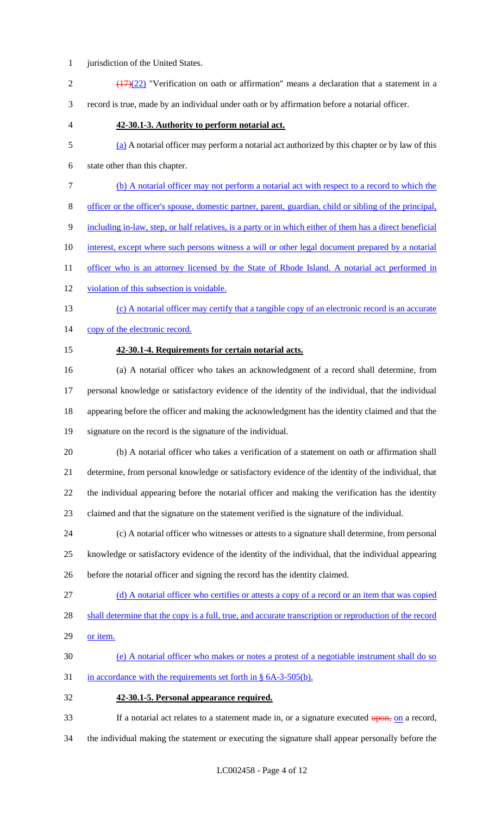- 1 jurisdiction of the United States.
- 2  $\frac{(17)(22)}{2}$  "Verification on oath or affirmation" means a declaration that a statement in a record is true, made by an individual under oath or by affirmation before a notarial officer.
- 

#### **42-30.1-3. Authority to perform notarial act.**

(a) A notarial officer may perform a notarial act authorized by this chapter or by law of this

state other than this chapter.

- (b) A notarial officer may not perform a notarial act with respect to a record to which the
- officer or the officer's spouse, domestic partner, parent, guardian, child or sibling of the principal,

including in-law, step, or half relatives, is a party or in which either of them has a direct beneficial

- 10 interest, except where such persons witness a will or other legal document prepared by a notarial
- 11 officer who is an attorney licensed by the State of Rhode Island. A notarial act performed in
- 12 violation of this subsection is voidable.
- (c) A notarial officer may certify that a tangible copy of an electronic record is an accurate
- 14 copy of the electronic record.
- 

#### **42-30.1-4. Requirements for certain notarial acts.**

 (a) A notarial officer who takes an acknowledgment of a record shall determine, from personal knowledge or satisfactory evidence of the identity of the individual, that the individual appearing before the officer and making the acknowledgment has the identity claimed and that the signature on the record is the signature of the individual.

 (b) A notarial officer who takes a verification of a statement on oath or affirmation shall determine, from personal knowledge or satisfactory evidence of the identity of the individual, that

the individual appearing before the notarial officer and making the verification has the identity

- claimed and that the signature on the statement verified is the signature of the individual.
- (c) A notarial officer who witnesses or attests to a signature shall determine, from personal knowledge or satisfactory evidence of the identity of the individual, that the individual appearing before the notarial officer and signing the record has the identity claimed.
- 
- (d) A notarial officer who certifies or attests a copy of a record or an item that was copied
- 28 shall determine that the copy is a full, true, and accurate transcription or reproduction of the record
- 29 or item.
- (e) A notarial officer who makes or notes a protest of a negotiable instrument shall do so
- 31 in accordance with the requirements set forth in § 6A-3-505(b).
- **42-30.1-5. Personal appearance required.**
- 33 If a notarial act relates to a statement made in, or a signature executed upon, on a record,
- the individual making the statement or executing the signature shall appear personally before the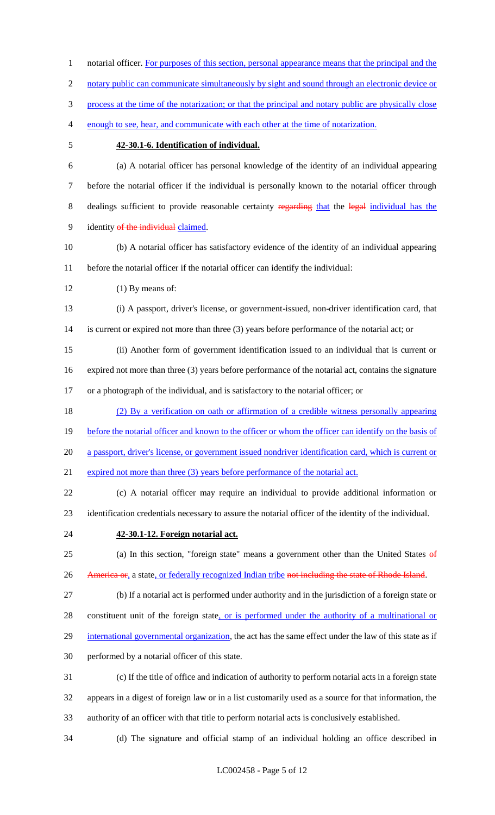1 notarial officer. For purposes of this section, personal appearance means that the principal and the 2 notary public can communicate simultaneously by sight and sound through an electronic device or process at the time of the notarization; or that the principal and notary public are physically close enough to see, hear, and communicate with each other at the time of notarization. **42-30.1-6. Identification of individual.** (a) A notarial officer has personal knowledge of the identity of an individual appearing before the notarial officer if the individual is personally known to the notarial officer through 8 dealings sufficient to provide reasonable certainty regarding that the legal individual has the 9 identity of the individual claimed. (b) A notarial officer has satisfactory evidence of the identity of an individual appearing before the notarial officer if the notarial officer can identify the individual: 12 (1) By means of: (i) A passport, driver's license, or government-issued, non-driver identification card, that is current or expired not more than three (3) years before performance of the notarial act; or (ii) Another form of government identification issued to an individual that is current or expired not more than three (3) years before performance of the notarial act, contains the signature or a photograph of the individual, and is satisfactory to the notarial officer; or (2) By a verification on oath or affirmation of a credible witness personally appearing 19 before the notarial officer and known to the officer or whom the officer can identify on the basis of a passport, driver's license, or government issued nondriver identification card, which is current or 21 expired not more than three (3) years before performance of the notarial act. (c) A notarial officer may require an individual to provide additional information or identification credentials necessary to assure the notarial officer of the identity of the individual. **42-30.1-12. Foreign notarial act.** 25 (a) In this section, "foreign state" means a government other than the United States of 26 America or, a state, or federally recognized Indian tribe not including the state of Rhode Island. (b) If a notarial act is performed under authority and in the jurisdiction of a foreign state or 28 constituent unit of the foreign state, or is performed under the authority of a multinational or 29 international governmental organization, the act has the same effect under the law of this state as if performed by a notarial officer of this state. (c) If the title of office and indication of authority to perform notarial acts in a foreign state appears in a digest of foreign law or in a list customarily used as a source for that information, the authority of an officer with that title to perform notarial acts is conclusively established.

(d) The signature and official stamp of an individual holding an office described in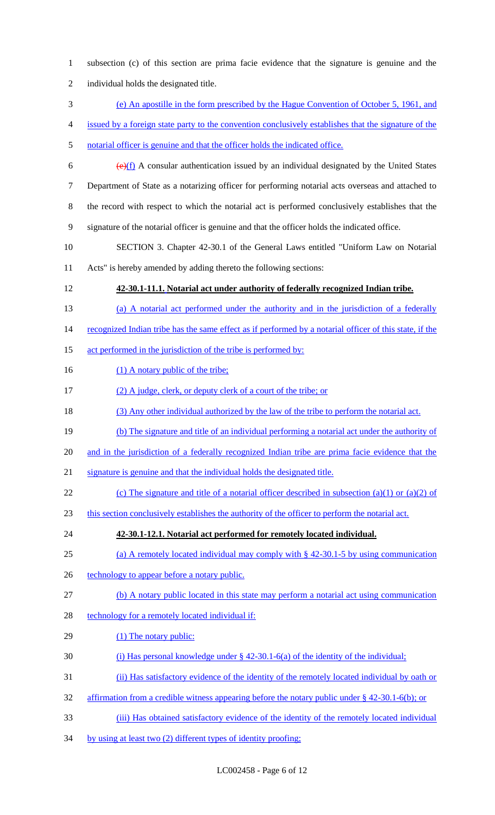| $\mathbf{1}$   | subsection (c) of this section are prima facie evidence that the signature is genuine and the           |
|----------------|---------------------------------------------------------------------------------------------------------|
| $\overline{2}$ | individual holds the designated title.                                                                  |
| 3              | (e) An apostille in the form prescribed by the Hague Convention of October 5, 1961, and                 |
| $\overline{4}$ | issued by a foreign state party to the convention conclusively establishes that the signature of the    |
| 5              | notarial officer is genuine and that the officer holds the indicated office.                            |
| 6              | $\overline{(e)(f)}$ A consular authentication issued by an individual designated by the United States   |
| 7              | Department of State as a notarizing officer for performing notarial acts overseas and attached to       |
| 8              | the record with respect to which the notarial act is performed conclusively establishes that the        |
| 9              | signature of the notarial officer is genuine and that the officer holds the indicated office.           |
| 10             | SECTION 3. Chapter 42-30.1 of the General Laws entitled "Uniform Law on Notarial                        |
| 11             | Acts" is hereby amended by adding thereto the following sections:                                       |
| 12             | 42-30.1-11.1. Notarial act under authority of federally recognized Indian tribe.                        |
| 13             | (a) A notarial act performed under the authority and in the jurisdiction of a federally                 |
| 14             | recognized Indian tribe has the same effect as if performed by a notarial officer of this state, if the |
| 15             | act performed in the jurisdiction of the tribe is performed by:                                         |
| 16             | (1) A notary public of the tribe;                                                                       |
| 17             | (2) A judge, clerk, or deputy clerk of a court of the tribe; or                                         |
| 18             | (3) Any other individual authorized by the law of the tribe to perform the notarial act.                |
| 19             | (b) The signature and title of an individual performing a notarial act under the authority of           |
| 20             | and in the jurisdiction of a federally recognized Indian tribe are prima facie evidence that the        |
| 21             | signature is genuine and that the individual holds the designated title.                                |
| 22             | (c) The signature and title of a notarial officer described in subsection (a)(1) or (a)(2) of           |
| 23             | this section conclusively establishes the authority of the officer to perform the notarial act.         |
| 24             | 42-30.1-12.1. Notarial act performed for remotely located individual.                                   |
| 25             | (a) A remotely located individual may comply with $\S$ 42-30.1-5 by using communication                 |
| 26             | technology to appear before a notary public.                                                            |
| 27             | (b) A notary public located in this state may perform a notarial act using communication                |
| 28             | technology for a remotely located individual if:                                                        |
| 29             | (1) The notary public:                                                                                  |
| 30             | (i) Has personal knowledge under $\S$ 42-30.1-6(a) of the identity of the individual;                   |
| 31             | (ii) Has satisfactory evidence of the identity of the remotely located individual by oath or            |
| 32             | affirmation from a credible witness appearing before the notary public under $\S$ 42-30.1-6(b); or      |
| 33             | (iii) Has obtained satisfactory evidence of the identity of the remotely located individual             |
| 34             | by using at least two (2) different types of identity proofing;                                         |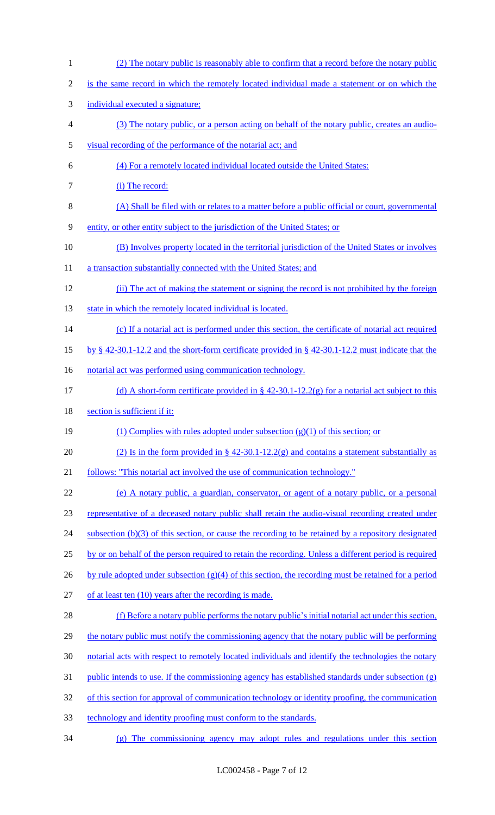(2) The notary public is reasonably able to confirm that a record before the notary public is the same record in which the remotely located individual made a statement or on which the individual executed a signature; (3) The notary public, or a person acting on behalf of the notary public, creates an audio- visual recording of the performance of the notarial act; and (4) For a remotely located individual located outside the United States: 7 (i) The record: (A) Shall be filed with or relates to a matter before a public official or court, governmental entity, or other entity subject to the jurisdiction of the United States; or (B) Involves property located in the territorial jurisdiction of the United States or involves 11 a transaction substantially connected with the United States; and (ii) The act of making the statement or signing the record is not prohibited by the foreign 13 state in which the remotely located individual is located. (c) If a notarial act is performed under this section, the certificate of notarial act required by § 42-30.1-12.2 and the short-form certificate provided in § 42-30.1-12.2 must indicate that the 16 notarial act was performed using communication technology. (d) A short-form certificate provided in § 42-30.1-12.2(g) for a notarial act subject to this 18 section is sufficient if it: 19 (1) Complies with rules adopted under subsection  $(g)(1)$  of this section; or 20 (2) Is in the form provided in  $\S$  42-30.1-12.2(g) and contains a statement substantially as follows: "This notarial act involved the use of communication technology." (e) A notary public, a guardian, conservator, or agent of a notary public, or a personal representative of a deceased notary public shall retain the audio-visual recording created under 24 subsection (b)(3) of this section, or cause the recording to be retained by a repository designated by or on behalf of the person required to retain the recording. Unless a different period is required 26 by rule adopted under subsection  $(g)(4)$  of this section, the recording must be retained for a period of at least ten (10) years after the recording is made. (f) Before a notary public performs the notary public's initial notarial act under this section, 29 the notary public must notify the commissioning agency that the notary public will be performing notarial acts with respect to remotely located individuals and identify the technologies the notary 31 public intends to use. If the commissioning agency has established standards under subsection  $(g)$ 32 of this section for approval of communication technology or identity proofing, the communication technology and identity proofing must conform to the standards. (g) The commissioning agency may adopt rules and regulations under this section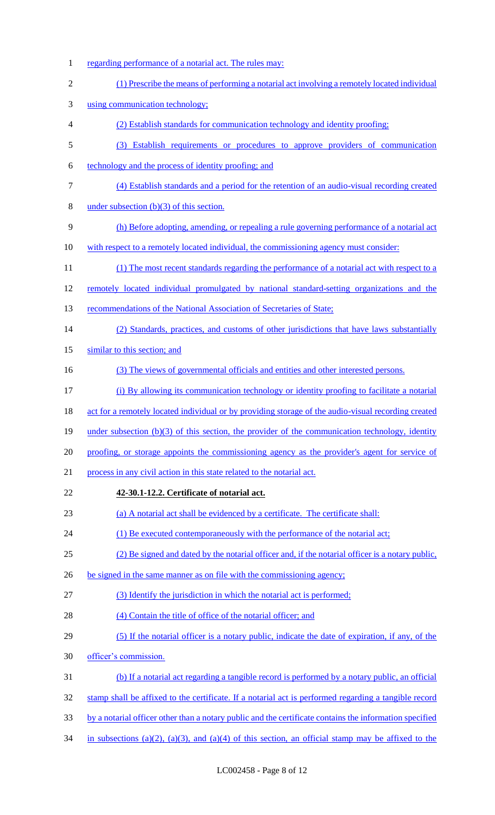regarding performance of a notarial act. The rules may: (1) Prescribe the means of performing a notarial act involving a remotely located individual using communication technology; (2) Establish standards for communication technology and identity proofing; (3) Establish requirements or procedures to approve providers of communication technology and the process of identity proofing; and (4) Establish standards and a period for the retention of an audio-visual recording created 8 under subsection  $(b)(3)$  of this section. (h) Before adopting, amending, or repealing a rule governing performance of a notarial act 10 with respect to a remotely located individual, the commissioning agency must consider: 11 (1) The most recent standards regarding the performance of a notarial act with respect to a remotely located individual promulgated by national standard-setting organizations and the 13 recommendations of the National Association of Secretaries of State; (2) Standards, practices, and customs of other jurisdictions that have laws substantially 15 similar to this section; and (3) The views of governmental officials and entities and other interested persons. (i) By allowing its communication technology or identity proofing to facilitate a notarial act for a remotely located individual or by providing storage of the audio-visual recording created 19 under subsection (b)(3) of this section, the provider of the communication technology, identity 20 proofing, or storage appoints the commissioning agency as the provider's agent for service of process in any civil action in this state related to the notarial act. **42-30.1-12.2. Certificate of notarial act.** (a) A notarial act shall be evidenced by a certificate. The certificate shall: (1) Be executed contemporaneously with the performance of the notarial act; (2) Be signed and dated by the notarial officer and, if the notarial officer is a notary public, 26 be signed in the same manner as on file with the commissioning agency; 27 (3) Identify the jurisdiction in which the notarial act is performed; 28 (4) Contain the title of office of the notarial officer; and (5) If the notarial officer is a notary public, indicate the date of expiration, if any, of the officer's commission. (b) If a notarial act regarding a tangible record is performed by a notary public, an official stamp shall be affixed to the certificate. If a notarial act is performed regarding a tangible record 33 by a notarial officer other than a notary public and the certificate contains the information specified in subsections (a)(2), (a)(3), and (a)(4) of this section, an official stamp may be affixed to the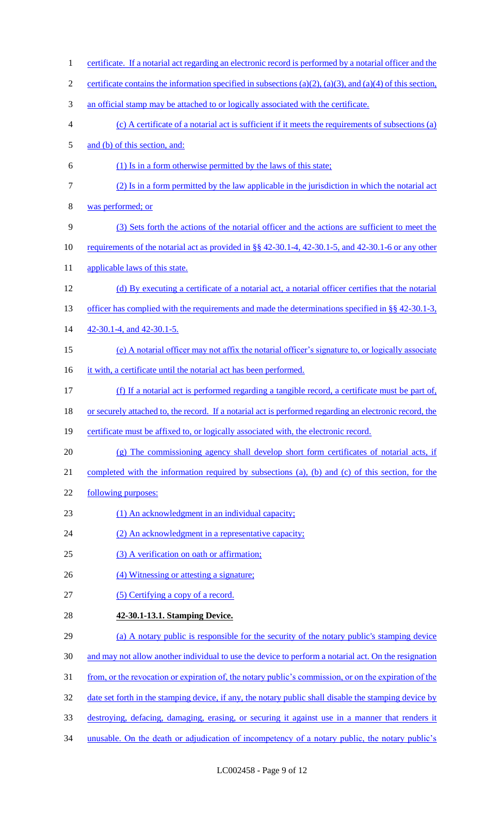1 certificate. If a notarial act regarding an electronic record is performed by a notarial officer and the 2 certificate contains the information specified in subsections  $(a)(2)$ ,  $(a)(3)$ , and  $(a)(4)$  of this section, 3 an official stamp may be attached to or logically associated with the certificate. 4 (c) A certificate of a notarial act is sufficient if it meets the requirements of subsections (a) 5 and (b) of this section, and: 6 (1) Is in a form otherwise permitted by the laws of this state; 7 (2) Is in a form permitted by the law applicable in the jurisdiction in which the notarial act 8 was performed; or 9 (3) Sets forth the actions of the notarial officer and the actions are sufficient to meet the 10 requirements of the notarial act as provided in §§ 42-30.1-4, 42-30.1-5, and 42-30.1-6 or any other 11 applicable laws of this state. 12 (d) By executing a certificate of a notarial act, a notarial officer certifies that the notarial 13 officer has complied with the requirements and made the determinations specified in §§ 42-30.1-3, 14 42-30.1-4, and 42-30.1-5. 15 (e) A notarial officer may not affix the notarial officer's signature to, or logically associate 16 it with, a certificate until the notarial act has been performed. 17 (f) If a notarial act is performed regarding a tangible record, a certificate must be part of, 18 or securely attached to, the record. If a notarial act is performed regarding an electronic record, the 19 certificate must be affixed to, or logically associated with, the electronic record. 20 (g) The commissioning agency shall develop short form certificates of notarial acts, if 21 completed with the information required by subsections (a), (b) and (c) of this section, for the 22 following purposes: 23 (1) An acknowledgment in an individual capacity; 24 (2) An acknowledgment in a representative capacity; 25 (3) A verification on oath or affirmation; 26 (4) Witnessing or attesting a signature; 27 (5) Certifying a copy of a record. 28 **42-30.1-13.1. Stamping Device.** 29 (a) A notary public is responsible for the security of the notary public's stamping device 30 and may not allow another individual to use the device to perform a notarial act. On the resignation 31 from, or the revocation or expiration of, the notary public's commission, or on the expiration of the 32 date set forth in the stamping device, if any, the notary public shall disable the stamping device by 33 destroying, defacing, damaging, erasing, or securing it against use in a manner that renders it 34 unusable. On the death or adjudication of incompetency of a notary public, the notary public's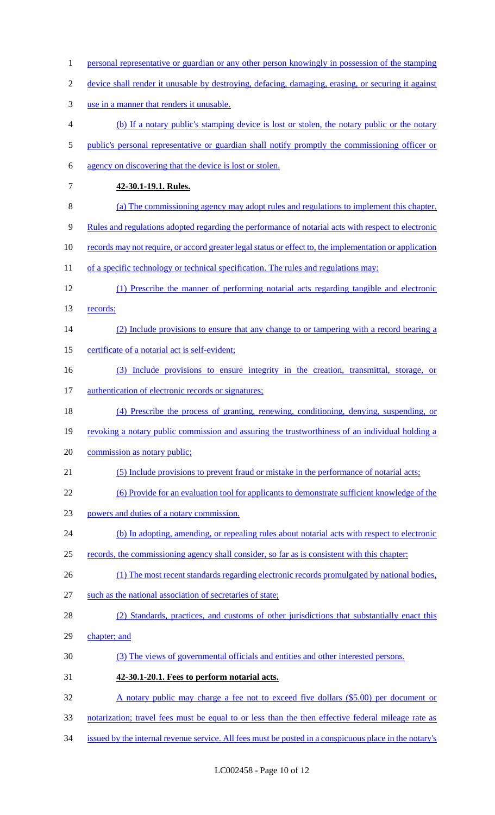| $\mathbf{1}$   | personal representative or guardian or any other person knowingly in possession of the stamping         |
|----------------|---------------------------------------------------------------------------------------------------------|
| $\overline{2}$ | device shall render it unusable by destroying, defacing, damaging, erasing, or securing it against      |
| 3              | use in a manner that renders it unusable.                                                               |
| 4              | (b) If a notary public's stamping device is lost or stolen, the notary public or the notary             |
| 5              | public's personal representative or guardian shall notify promptly the commissioning officer or         |
| 6              | agency on discovering that the device is lost or stolen.                                                |
| 7              | 42-30.1-19.1. Rules.                                                                                    |
| 8              | (a) The commissioning agency may adopt rules and regulations to implement this chapter.                 |
| 9              | Rules and regulations adopted regarding the performance of notarial acts with respect to electronic     |
| 10             | records may not require, or accord greater legal status or effect to, the implementation or application |
| 11             | of a specific technology or technical specification. The rules and regulations may:                     |
| 12             | (1) Prescribe the manner of performing notarial acts regarding tangible and electronic                  |
| 13             | records;                                                                                                |
| 14             | (2) Include provisions to ensure that any change to or tampering with a record bearing a                |
| 15             | certificate of a notarial act is self-evident;                                                          |
| 16             | (3) Include provisions to ensure integrity in the creation, transmittal, storage, or                    |
| 17             | authentication of electronic records or signatures;                                                     |
| 18             | (4) Prescribe the process of granting, renewing, conditioning, denying, suspending, or                  |
| 19             | revoking a notary public commission and assuring the trustworthiness of an individual holding a         |
| 20             | commission as notary public;                                                                            |
| 21             | (5) Include provisions to prevent fraud or mistake in the performance of notarial acts;                 |
| 22             | (6) Provide for an evaluation tool for applicants to demonstrate sufficient knowledge of the            |
| 23             | powers and duties of a notary commission.                                                               |
| 24             | (b) In adopting, amending, or repealing rules about notarial acts with respect to electronic            |
| 25             | records, the commissioning agency shall consider, so far as is consistent with this chapter:            |
| 26             | (1) The most recent standards regarding electronic records promulgated by national bodies,              |
| 27             | such as the national association of secretaries of state;                                               |
| 28             | (2) Standards, practices, and customs of other jurisdictions that substantially enact this              |
| 29             | chapter; and                                                                                            |
| 30             | (3) The views of governmental officials and entities and other interested persons.                      |
| 31             | 42-30.1-20.1. Fees to perform notarial acts.                                                            |
| 32             | A notary public may charge a fee not to exceed five dollars (\$5.00) per document or                    |
| 33             | notarization; travel fees must be equal to or less than the then effective federal mileage rate as      |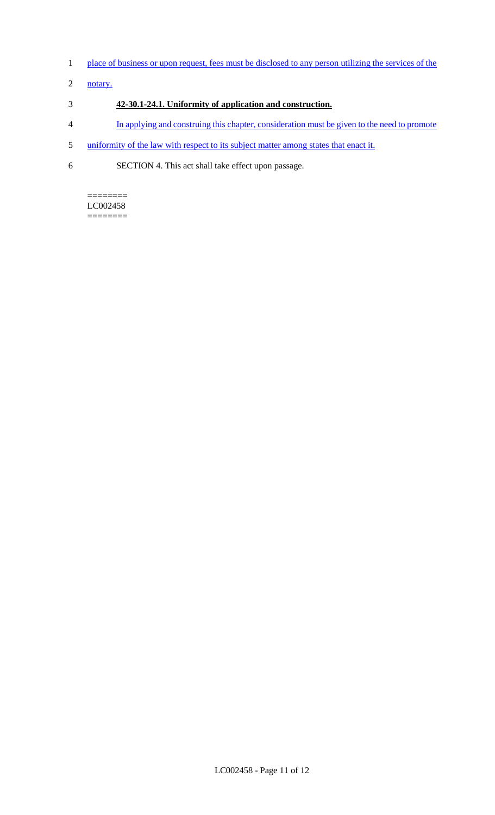- 1 place of business or upon request, fees must be disclosed to any person utilizing the services of the
- 2 notary.

## 3 **42-30.1-24.1. Uniformity of application and construction.**

- 4 In applying and construing this chapter, consideration must be given to the need to promote
- 5 uniformity of the law with respect to its subject matter among states that enact it.
- 6 SECTION 4. This act shall take effect upon passage.

======== LC002458 ========

LC002458 - Page 11 of 12